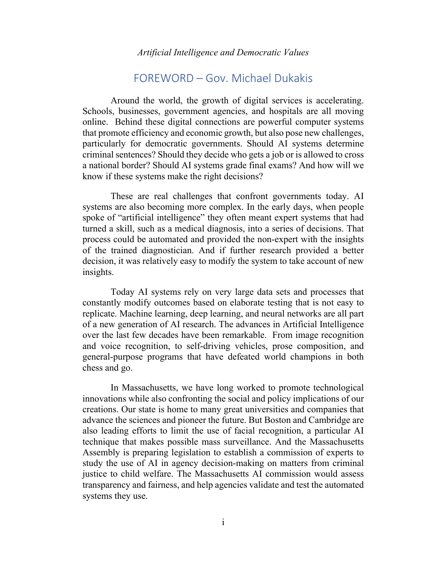*Artificial Intelligence and Democratic Values*

## FOREWORD – Gov. Michael Dukakis

Around the world, the growth of digital services is accelerating. Schools, businesses, government agencies, and hospitals are all moving online. Behind these digital connections are powerful computer systems that promote efficiency and economic growth, but also pose new challenges, particularly for democratic governments. Should AI systems determine criminal sentences? Should they decide who gets a job or is allowed to cross a national border? Should AI systems grade final exams? And how will we know if these systems make the right decisions?

These are real challenges that confront governments today. AI systems are also becoming more complex. In the early days, when people spoke of "artificial intelligence" they often meant expert systems that had turned a skill, such as a medical diagnosis, into a series of decisions. That process could be automated and provided the non-expert with the insights of the trained diagnostician. And if further research provided a better decision, it was relatively easy to modify the system to take account of new insights.

Today AI systems rely on very large data sets and processes that constantly modify outcomes based on elaborate testing that is not easy to replicate. Machine learning, deep learning, and neural networks are all part of a new generation of AI research. The advances in Artificial Intelligence over the last few decades have been remarkable. From image recognition and voice recognition, to self-driving vehicles, prose composition, and general-purpose programs that have defeated world champions in both chess and go.

In Massachusetts, we have long worked to promote technological innovations while also confronting the social and policy implications of our creations. Our state is home to many great universities and companies that advance the sciences and pioneer the future. But Boston and Cambridge are also leading efforts to limit the use of facial recognition, a particular AI technique that makes possible mass surveillance. And the Massachusetts Assembly is preparing legislation to establish a commission of experts to study the use of AI in agency decision-making on matters from criminal justice to child welfare. The Massachusetts AI commission would assess transparency and fairness, and help agencies validate and test the automated systems they use.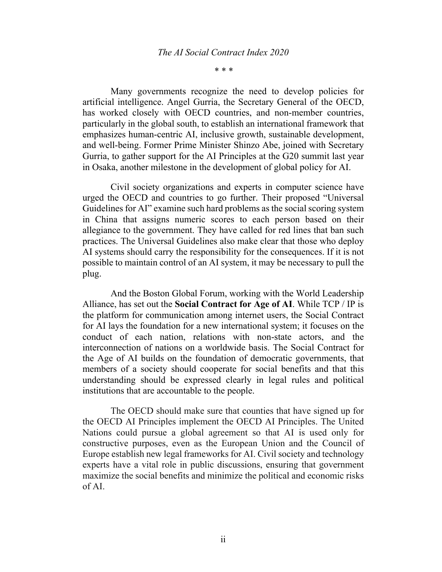## *The AI Social Contract Index 2020*

*\* \* \**

Many governments recognize the need to develop policies for artificial intelligence. Angel Gurria, the Secretary General of the OECD, has worked closely with OECD countries, and non-member countries, particularly in the global south, to establish an international framework that emphasizes human-centric AI, inclusive growth, sustainable development, and well-being. Former Prime Minister Shinzo Abe, joined with Secretary Gurria, to gather support for the AI Principles at the G20 summit last year in Osaka, another milestone in the development of global policy for AI.

Civil society organizations and experts in computer science have urged the OECD and countries to go further. Their proposed "Universal Guidelines for AI" examine such hard problems as the social scoring system in China that assigns numeric scores to each person based on their allegiance to the government. They have called for red lines that ban such practices. The Universal Guidelines also make clear that those who deploy AI systems should carry the responsibility for the consequences. If it is not possible to maintain control of an AI system, it may be necessary to pull the plug.

And the Boston Global Forum, working with the World Leadership Alliance, has set out the **Social Contract for Age of AI**. While TCP / IP is the platform for communication among internet users, the Social Contract for AI lays the foundation for a new international system; it focuses on the conduct of each nation, relations with non-state actors, and the interconnection of nations on a worldwide basis. The Social Contract for the Age of AI builds on the foundation of democratic governments, that members of a society should cooperate for social benefits and that this understanding should be expressed clearly in legal rules and political institutions that are accountable to the people.

The OECD should make sure that counties that have signed up for the OECD AI Principles implement the OECD AI Principles. The United Nations could pursue a global agreement so that AI is used only for constructive purposes, even as the European Union and the Council of Europe establish new legal frameworks for AI. Civil society and technology experts have a vital role in public discussions, ensuring that government maximize the social benefits and minimize the political and economic risks of AI.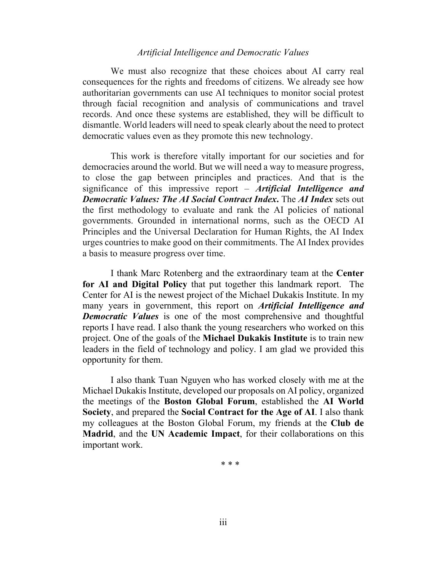## *Artificial Intelligence and Democratic Values*

We must also recognize that these choices about AI carry real consequences for the rights and freedoms of citizens. We already see how authoritarian governments can use AI techniques to monitor social protest through facial recognition and analysis of communications and travel records. And once these systems are established, they will be difficult to dismantle. World leaders will need to speak clearly about the need to protect democratic values even as they promote this new technology.

This work is therefore vitally important for our societies and for democracies around the world. But we will need a way to measure progress, to close the gap between principles and practices. And that is the significance of this impressive report – *Artificial Intelligence and Democratic Values: The AI Social Contract Index***.** The *AI Index* sets out the first methodology to evaluate and rank the AI policies of national governments. Grounded in international norms, such as the OECD AI Principles and the Universal Declaration for Human Rights, the AI Index urges countries to make good on their commitments. The AI Index provides a basis to measure progress over time.

I thank Marc Rotenberg and the extraordinary team at the **Center for AI and Digital Policy** that put together this landmark report. The Center for AI is the newest project of the Michael Dukakis Institute. In my many years in government, this report on *Artificial Intelligence and Democratic Values* is one of the most comprehensive and thoughtful reports I have read. I also thank the young researchers who worked on this project. One of the goals of the **Michael Dukakis Institute** is to train new leaders in the field of technology and policy. I am glad we provided this opportunity for them.

I also thank Tuan Nguyen who has worked closely with me at the Michael Dukakis Institute, developed our proposals on AI policy, organized the meetings of the **Boston Global Forum**, established the **AI World Society**, and prepared the **Social Contract for the Age of AI**. I also thank my colleagues at the Boston Global Forum, my friends at the **Club de Madrid**, and the **UN Academic Impact**, for their collaborations on this important work.

\* \* \*